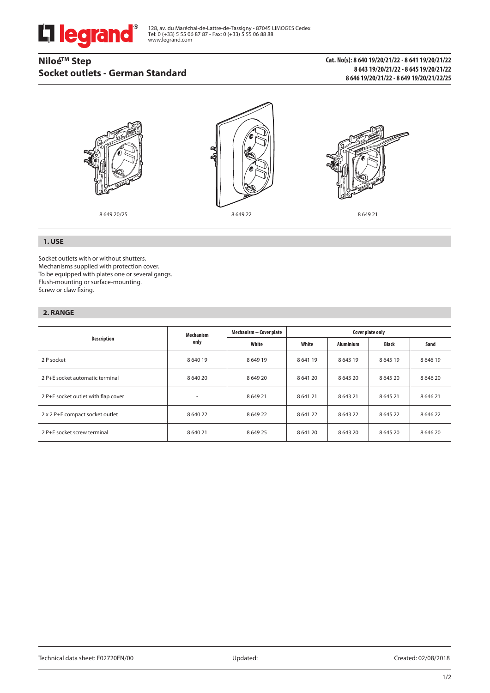

128, av. du Maréchal-de-Lattre-de-Tassigny - 87045 LIMOGES Cedex Tel: 0 (+33) 5 55 06 87 87 - Fax: 0 (+33) 5 55 06 88 88 www.legrand.com

# **NiloéTM Step Socket outlets - German Standard**

## **Cat. No(s): 8 640 19/20/21/22 - 8 641 19/20/21/22 8 643 19/20/21/22 - 8 645 19/20/21/22 8 646 19/20/21/22 - 8 649 19/20/21/22/25**



## **1. USE**

Socket outlets with or without shutters. Mechanisms supplied with protection cover. To be equipped with plates one or several gangs. Flush-mounting or surface-mounting. Screw or claw fixing.

## **2. RANGE**

| Description                         | <b>Mechanism</b><br>only | Mechanism + Cover plate | Cover plate only |                  |             |             |  |  |
|-------------------------------------|--------------------------|-------------------------|------------------|------------------|-------------|-------------|--|--|
|                                     |                          | White                   | White            | <b>Aluminium</b> | Black       | Sand        |  |  |
| 2 P socket                          | 8 640 19                 | 864919                  | 864119           | 864319           | 864519      | 864619      |  |  |
| 2 P+E socket automatic terminal     | 8 640 20                 | 864920                  | 8 641 20         | 8 643 20         | 864520      | 8 6 4 6 20  |  |  |
| 2 P+E socket outlet with flap cover |                          | 864921                  | 864121           | 864321           | 864521      | 8 6 4 6 21  |  |  |
| 2 x 2 P+E compact socket outlet     | 8 640 22                 | 864922                  | 864122           | 864322           | 864522      | 8 6 4 6 2 2 |  |  |
| 2 P+E socket screw terminal         | 8 640 21                 | 864925                  | 864120           | 8 6 4 3 2 0      | 8 6 4 5 2 0 | 8 6 4 6 2 0 |  |  |